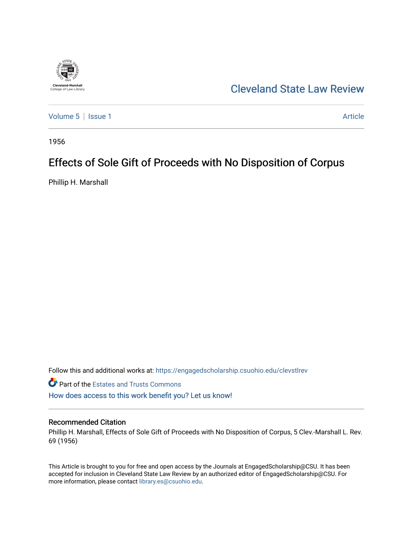

## [Cleveland State Law Review](https://engagedscholarship.csuohio.edu/clevstlrev)

[Volume 5](https://engagedscholarship.csuohio.edu/clevstlrev/vol5) | [Issue 1](https://engagedscholarship.csuohio.edu/clevstlrev/vol5/iss1) Article

1956

## Effects of Sole Gift of Proceeds with No Disposition of Corpus

Phillip H. Marshall

Follow this and additional works at: [https://engagedscholarship.csuohio.edu/clevstlrev](https://engagedscholarship.csuohio.edu/clevstlrev?utm_source=engagedscholarship.csuohio.edu%2Fclevstlrev%2Fvol5%2Fiss1%2F9&utm_medium=PDF&utm_campaign=PDFCoverPages)

**Part of the Estates and Trusts Commons** [How does access to this work benefit you? Let us know!](http://library.csuohio.edu/engaged/)

#### Recommended Citation

Phillip H. Marshall, Effects of Sole Gift of Proceeds with No Disposition of Corpus, 5 Clev.-Marshall L. Rev. 69 (1956)

This Article is brought to you for free and open access by the Journals at EngagedScholarship@CSU. It has been accepted for inclusion in Cleveland State Law Review by an authorized editor of EngagedScholarship@CSU. For more information, please contact [library.es@csuohio.edu](mailto:library.es@csuohio.edu).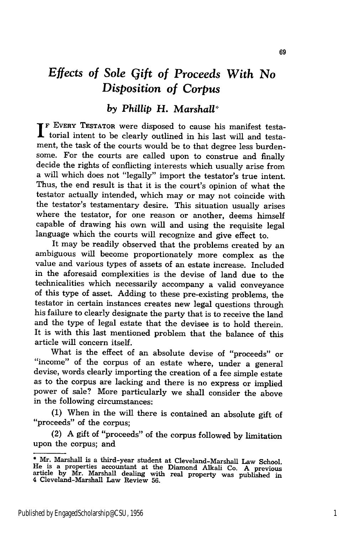### *Effects of Sole Gift of Proceeds With No Disposition of Corpus*

#### *by Phillip H. Marshall\**

**F EVERY TESTATOR** were disposed to cause his manifest testatorial intent to be clearly outlined in his last will and testament, the task of the courts would be to that degree less burdensome. For the courts are called upon to construe and finally decide the rights of conflicting interests which usually arise from a will which does not "legally" import the testator's true intent. Thus, the end result is that it is the court's opinion of what the testator actually intended, which may or may not coincide with the testator's testamentary desire. This situation usually arises where the testator, for one reason or another, deems himself capable of drawing his own will and using the requisite legal language which the courts will recognize and give effect to.

It may be readily observed that the problems created **by** an ambiguous will become proportionately more complex as the value and various types of assets of an estate increase. Included in the aforesaid complexities is the devise of land due to the technicalities which necessarily accompany a valid conveyance of this type of asset. Adding to these pre-existing problems, the testator in certain instances creates new legal questions through his failure to clearly designate the party that is to receive the land and the type of legal estate that the devisee is to hold therein. It is with this last mentioned problem that the balance of this article will concern itself.

What is the effect of an absolute devise of "proceeds" or "income" of the corpus of an estate where, under a general devise, words clearly importing the creation of a fee simple estate as to the corpus are lacking and there is no express or implied power of sale? More particularly we shall consider the above in the following circumstances:

**(1)** When in the will there is contained an absolute gift of "proceeds" of the corpus;

(2) A gift of "proceeds" of the corpus followed **by** limitation upon the corpus; and

**<sup>\*</sup>** Mr. Marshall is a third-year student at Cleveland-Marshall Law School. **He** is a properties accountant at the Diamond Alkali Co. A previous article **by** Mr. Marshall dealing with real property was published in 4 Cleveland-Marshall Law Review **56.**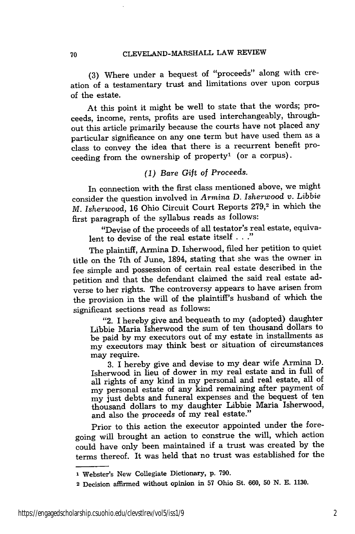(3) Where under a bequest of "proceeds" along with creation of a testamentary trust and limitations over upon corpus of the estate.

At this point it might be well to state that the words; proceeds, income, rents, profits are used interchangeably, throughout this article primarily because the courts have not placed any particular significance on any one term but have used them as a class to convey the idea that there is a recurrent benefit proceeding from the ownership of property' (or a corpus).

#### *(1) Bare Gift of Proceeds.*

In connection with the first class mentioned above, we might consider the question involved in *Armina* D. *Isherwood v. Libbie M. Isherwood, 16 Ohio Circuit Court Reports 279,<sup>2</sup> in which the* first paragraph of the syllabus reads as follows:

"Devise of the proceeds of all testator's real estate, equivalent to devise of the real estate itself . . ."

The plaintiff, Armina D. Isherwood, filed her petition to quiet title on the 7th of June, 1894, stating that she was the owner in fee simple and possession of certain real estate described in the petition and that the defendant claimed the said real estate adverse to her rights. The controversy appears to have arisen from the provision in the will of the plaintiff's husband of which the significant sections read as follows:

"2. I hereby give and bequeath to my (adopted) daughter Libbie Maria Isherwood the sum of ten thousand dollars to be paid by my executors out of my estate in installments as my executors may think best or situation of circumstances may require.

3. I hereby give and devise to my dear wife Armina D. Isherwood in lieu of dower in my real estate and in full of all rights of any kind in my personal and real estate, all of my personal estate of any kind remaining after payment of my just debts and funeral expenses and the bequest of ten thousand dollars to my daughter Libbie Maria Isherwood, and also the *proceeds* of my real estate."

Prior to this action the executor appointed under the foregoing will brought an action to construe the will, which action could have only been maintained if a trust was created by the terms thereof. It was held that no trust was established for the

**<sup>1</sup>** Webster's New Collegiate Dictionary, **p.** 790.

**<sup>2</sup>**Decision affirmed without opinion in 57 Ohio St. **660, 50 N. E. 1130.**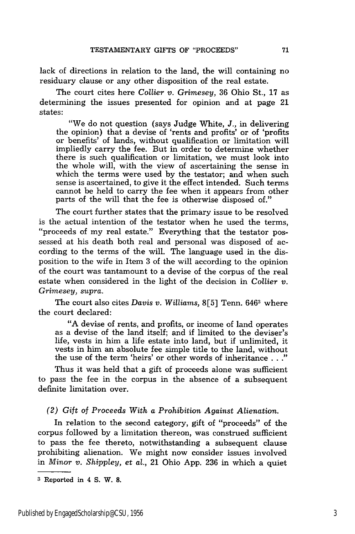lack of directions in relation to the land, the will containing no residuary clause or any other disposition of the real estate.

The court cites here *Collier v. Grimesey,* 36 Ohio St., 17 as determining the issues presented for opinion and at page 21 states:

"We do not question (says Judge White, *J.,* in delivering the opinion) that a devise of 'rents and profits' or of 'profits or benefits' of lands, without qualification or limitation will impliedly carry the fee. But in order to determine whether there is such qualification or limitation, we must look into the whole will, with the view of ascertaining the sense in which the terms were used by the testator; and when such sense is ascertained, to give it the effect intended. Such terms cannot be held to carry the fee when it appears from other parts of the will that the fee is otherwise disposed of."

The court further states that the primary issue to be resolved is the actual intention of the testator when he used the terms, "proceeds of my real estate." Everything that the testator possessed at his death both real and personal was disposed of according to the terms of the will. The language used in the disposition to the wife in Item 3 of the will according to the opinion of the court was tantamount to a devise of the corpus of the real estate when considered in the light of the decision in *Collier v. Grimesey, supra.*

The court also cites *Davis v. Williams,* 8[5] Tenn. 6463 where the court declared:

"A devise of rents, and profits, or income of land operates as a devise of the land itself; and if limited to the deviser's life, vests in him a life estate into land, but if unlimited, it vests in him an absolute fee simple title to the land, without the use of the term 'heirs' or other words of inheritance . . **."**

Thus it was held that a gift of proceeds alone was sufficient to pass the fee in the corpus in the absence of a subsequent definite limitation over.

*(2) Gift of Proceeds With a Prohibition Against Alienation.*

In relation to the second category, gift of "proceeds" of the corpus followed by a limitation thereon, was construed sufficient to pass the fee thereto, notwithstanding a subsequent clause prohibiting alienation. We might now consider issues involved in *Minor v. Shippley, et al.,* 21 Ohio App. 236 in which a quiet

**<sup>3</sup>** Reported in 4 **S.** W. **8.**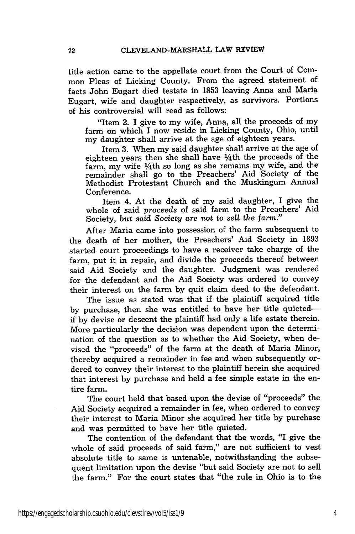title action came to the appellate court from the Court of Common Pleas of Licking County. From the agreed statement of facts John Eugart died testate in 1853 leaving Anna and Maria Eugart, wife and daughter respectively, as survivors. Portions of his controversial will read as follows:

"Item 2. I give to my wife, Anna, all the proceeds of my farm on which I now reside in Licking County, Ohio, until my daughter shall arrive at the age of eighteen years.

Item 3. When my said daughter shall arrive at the age of eighteen years then she shall have Y4th the proceeds of the farm, my wife 1/4th so long as she remains my wife, and the remainder shall go to the Preachers' Aid Society of the Methodist Protestant Church and the Muskingum Annual Conference.

Item 4. At the death of my said daughter, I give the whole of said *proceeds* of said farm to the Preachers' Aid Society, *but said Society are* not to *sell the farm."*

After Maria came into possession of the farm subsequent to the death of her mother, the Preachers' Aid Society in 1893 started court proceedings to have a receiver take charge of the farm, put it in repair, and divide the proceeds thereof between said Aid Society and the daughter. Judgment was rendered for the defendant and the Aid Society was ordered to convey their interest on the farm by quit claim deed to the defendant.

The issue as stated was that if the plaintiff acquired title by purchase, then she was entitled to have her title quietedif by devise or descent the plaintiff had only a life estate therein. More particularly the decision was dependent upon the determination of the question as to whether the Aid Society, when devised the "proceeds" of the farm at the death of Maria Minor, thereby acquired a remainder in fee and when subsequently ordered to convey their interest to the plaintiff herein she acquired that interest by purchase and held a fee simple estate in the entire farm.

The court held that based upon the devise of "proceeds" the Aid Society acquired a remainder in fee, when ordered to convey their interest to Maria Minor she acquired her title by purchase and was permitted to have her title quieted.

The contention of the defendant that the words, "I give the whole of said proceeds of said farm," are not sufficient to vest absolute title to same is untenable, notwithstanding the subsequent limitation upon the devise "but said Society are not to sell the farm." For the court states that "the rule in Ohio is to the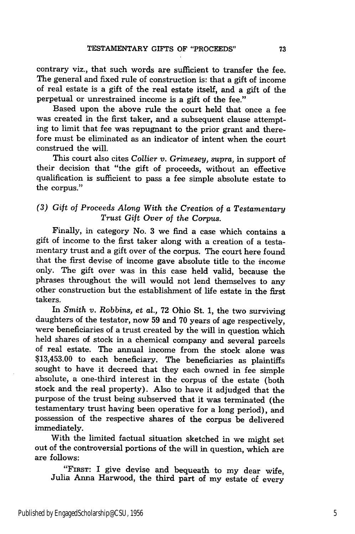contrary viz., that such words are sufficient to transfer the fee. The general and fixed rule of construction is: that a gift of income of real estate is a gift of the real estate itself, and a gift of the perpetual or unrestrained income is a gift of the fee."

Based upon the above rule the court held that once a fee was created in the first taker, and a subsequent clause attempting to limit that fee was repugnant to the prior grant and therefore must be eliminated as an indicator of intent when the court construed the will.

This court also cites *Collier v. Grimesey, supra,* in support of their decision that "the gift of proceeds, without an effective qualification is sufficient to pass a fee simple absolute estate to the corpus."

#### *(3) Gift of Proceeds Along* With the *Creation of a Testamentary Trust Gift Over of the Corpus.*

Finally, in category No. 3 we find a case which contains a gift of income to the first taker along with a creation of a testamentary trust and a gift over of the corpus. The court here found that the first devise of income gave absolute title to the *income* only. The gift over was in this case held valid, because the phrases throughout the will would not lend themselves to any other construction but the establishment of life estate in the first takers.

In *Smith v. Robbins, et al.,* 72 Ohio St. 1, the two surviving daughters of the testator, now 59 and 70 years of age respectively, were beneficiaries of a trust created by the will in question which held shares of stock in a chemical company and several parcels of real estate. The annual income from the stock alone was \$13,453.00 to each beneficiary. The beneficiaries as plaintiffs sought to have it decreed that they each owned in fee simple absolute, a one-third interest in the corpus of the estate (both stock and the real property). Also to have it adjudged that the purpose of the trust being subserved that it was terminated (the testamentary trust having been operative for a long period), and possession of the respective shares of the corpus be delivered immediately.

With the limited factual situation sketched in we might set out of the controversial portions of the will in question, which are are follows:

"FIRST: I give devise and bequeath to my dear wife, Julia Anna Harwood, the third part of my estate of every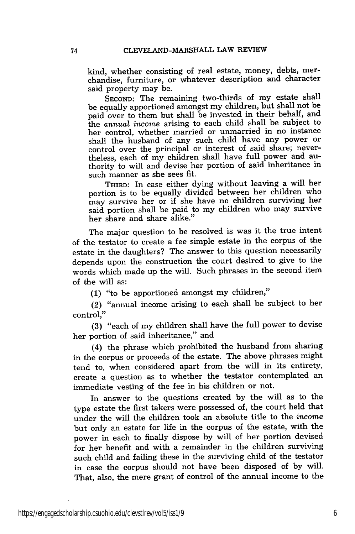kind, whether consisting of real estate, money, debts, merchandise, furniture, or whatever description and character said property may be.

**SECOND:** The remaining two-thirds of my estate shall be equally apportioned amongst my children, but shall not be paid over to them but shall be invested in their behalf, and the *annual income* arising to each child shall be subject to her control, whether married or unmarried in no instance shall the husband of any such child have any power or control over the principal or interest of said share; nevertheless, each of my children shall have full power and authority to will and devise her portion of said inheritance in such manner as she sees fit.

THIRD: In case either dying without leaving a will her portion is to be equally divided between her children who may survive her or if she have no children surviving her said portion shall be paid to my children who may survive her share and share alike."

The major question to be resolved is was it the true intent of the testator to create a fee simple estate in the corpus of the estate in the daughters? The answer to this question necessarily depends upon the construction the court desired to give to the words which made up the will. Such phrases in the second item of the will as:

(1) "to be apportioned amongst my children,"

(2) "annual income arising to each shall be subject to her control,"

(3) "each of my children shall have the full power to devise her portion of said inheritance," and

(4) the phrase which prohibited the husband from sharing in the corpus or proceeds of the estate. The above phrases might tend to, when considered apart from the will in its entirety, create a question as to whether the testator contemplated an immediate vesting of the fee in his children or not.

In answer to the questions created by the will as to the type estate the first takers were possessed of, the court held that under the will the children took an absolute title to the *income* but only an estate for life in the corpus of the estate, with the power in each to finally dispose by will of her portion devised for her benefit and with a remainder in the children surviving such child and failing these in the surviving child of the testator in case the corpus should not have been disposed of by will. That, also, the mere grant of control of the annual income to the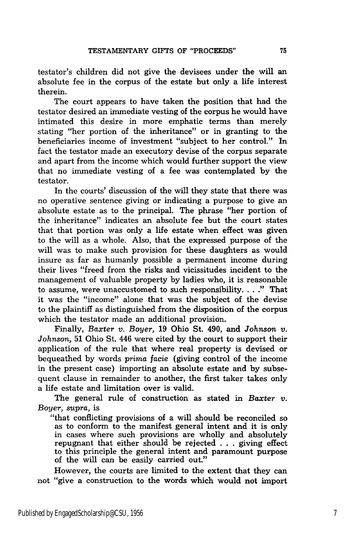testator's children did not give the devisees under the will an absolute fee in the corpus of the estate but only a life interest therein.

The court appears to have taken the position that had the testator desired an immediate vesting of the corpus he would have intimated this desire in more emphatic terms than merely stating "her portion of the inheritance" or in granting to the beneficiaries income of investment "subject to her control." In fact the testator made an executory devise of the corpus separate and apart from the income which would further support the view that no immediate vesting of a fee was contemplated **by** the testator.

In the courts' discussion of the will they state that there was no operative sentence giving or indicating a purpose to give an absolute estate as to the principal. The phrase "her portion of the inheritance" indicates an absolute fee but the court states that that portion was only a life estate when effect was given to the will as a whole. Also, that the expressed purpose of the will was to make such provision for these daughters as would insure as far as humanly possible a permanent income during their lives "freed from the risks and vicissitudes incident to the management of valuable property by ladies who, it is reasonable to assume, were unaccustomed to such responsibility. . . **."** That it was the "income" alone that was the subject of the devise to the plaintiff as distinguished from the disposition of the corpus which the testator made an additional provision.

Finally, *Baxter v. Boyer,* 19 Ohio St. 490, and *Johnson v. Johnson,* 51 Ohio St. 446 were cited by the court to support their application of the rule that where real property is devised or bequeathed by words *prima facie* (giving control of the income in the present case) importing an absolute estate and by subsequent clause in remainder to another, the first taker takes only a life estate and limitation over is valid.

The general rule of construction as stated in *Baxter v. Boyer, supra,* is

"that conflicting provisions of a will should be reconciled so as to conform to the manifest general intent and it is only in cases where such provisions are wholly and absolutely repugnant that either should be rejected . . . giving effect to this principle the general intent and paramount purpose of the will can be easily carried out."

However, the courts are limited to the extent that they can not "give a construction to the words which would not import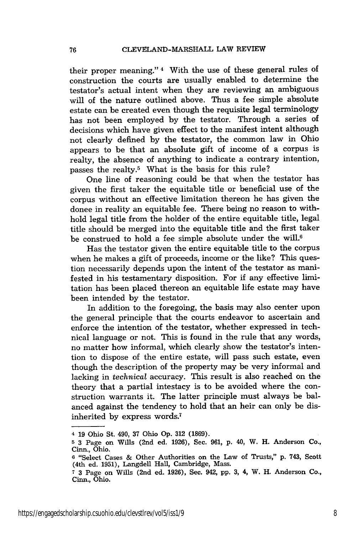their proper meaning." 4 With the use of these general rules of construction the courts are usually enabled to determine the testator's actual intent when they are reviewing an ambiguous will of the nature outlined above. Thus a fee simple absolute estate can be created even though the requisite legal terminology has not been employed by the testator. Through a series of decisions which have given effect to the manifest intent although not clearly defined by the testator, the common law in Ohio appears to be that an absolute gift of income of a corpus is realty, the absence of anything to indicate a contrary intention, passes the realty.<sup>5</sup> What is the basis for this rule?

One line of reasoning could be that when the testator has given the first taker the equitable title or beneficial use of the corpus without an effective limitation thereon he has given the donee in reality an equitable fee. There being no reason to withhold legal title from the holder of the entire equitable title, legal title should be merged into the equitable title and the first taker be construed to hold a fee simple absolute under the will.<sup>6</sup>

Has the testator given the entire equitable title to the corpus when he makes a gift of proceeds, income or the like? This question necessarily depends upon the intent of the testator as manifested in his testamentary disposition. For if any effective limitation has been placed thereon an equitable life estate may have been intended by the testator.

In addition to the foregoing, the basis may also center upon the general principle that the courts endeavor to ascertain and enforce the intention of the testator, whether expressed in technical language or not. This is found in the rule that any words, no matter how informal, which clearly show the testator's intention to dispose of the entire estate, will pass such estate, even though the description of the property may be very informal and lacking in *technical* accuracy. This result is also reached on the theory that a partial intestacy is to be avoided where the construction warrants it. The latter principle must always be balanced against the tendency to hold that an heir can only be disinherited by express words.<sup>7</sup>

<sup>4 19</sup> Ohio St. 490, 37 Ohio Op. 312 (1869).

<sup>5 3</sup> Page on Wills (2nd ed. 1926), Sec. 961, p. 40, W. H. Anderson Co., Cinn., Ohio.

<sup>6 &</sup>quot;Select Cases & Other Authorities on the Law of Trusts," p. 743, Scott (4th ed. 1951), Langdell Hall, Cambridge, Mass.

<sup>7 3</sup> Page on Wills (2nd ed. 1926), Sec. 942, pp. 3, 4, W. H. Anderson Co., Cinn., Ohio.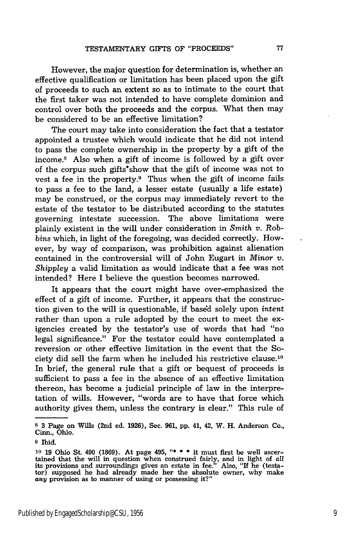However, the major question for determination is, whether an effective qualification or limitation has been placed upon the gift of proceeds to such an extent so as to intimate to the court that the first taker was not intended to have complete dominion and control over both the proceeds and the corpus. What then may be considered to be an effective limitation?

The court may take into consideration the fact that a testator appointed a trustee which would indicate that he did not intend to pass the complete ownership in the property by a gift of the income.<sup>8</sup> Also when a gift of income is followed by a gift over of the corpus such gifts'show that the gift of income was not to vest a fee in the property.9 Thus when the gift of income fails to pass a fee to the land, a lesser estate (usually a life estate) may be construed, or the corpus may immediately revert to the estate of the testator to be distributed according to the statutes governing intestate succession. The above limitations were plainly existent in the will under consideration in *Smith v.* Rob*bins* which, in light of the foregoing, was decided correctly. However, by way of comparison, was prohibition against alienation contained in the controversial will of John Eugart in *Minor v. Shippley* a valid limitation as would indicate that a fee was not intended? Here I believe the question becomes narrowed.

It appears that the court might have over-emphasized the effect of a gift of income. Further, it appears that the construction given to the will is questionable, if based solely upon *intent* rather than upon a rule adopted by the court to meet the exigencies created by the testator's use of words that had "no legal significance." For the testator could have contemplated a reversion or other effective limitation in the event that the Society did sell the farm when he included his restrictive clause.10 In brief, the general rule that a gift or bequest of proceeds is sufficient to pass a fee in the absence of an effective **limitation** thereon, has become a judicial principle of law in the interpretation of wills. However, "words are to have that force which authority gives them, unless the contrary is clear." This rule of

**<sup>8</sup>** 3 Page on Wills (2nd ed. 1926), Sec. 961, pp. 41, 42, W. H. Anderson Co., Cinn., Ohio.

**<sup>9</sup>** Ibid.

**<sup>10</sup>** 19 Ohio St. 490 (1869). At page 495, *"\** \* \* it must first be well ascertained that the will in question when construed fairly, and in light of *all* its provisions and surroundings gives an estate in fee." Also, "If he (testator) supposed he had already made her the absolute owner, why make any provision as to manner of using or possessing it?"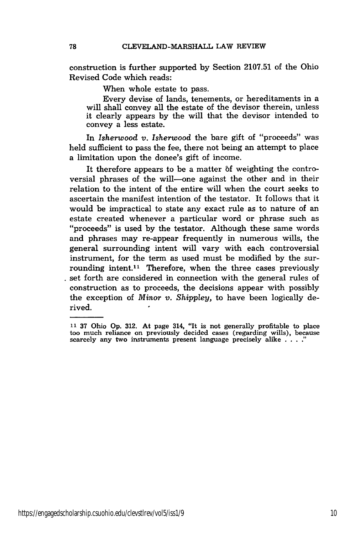construction is further supported **by** Section 2107.51 of the Ohio Revised Code which reads:

When whole estate to pass.

Every devise of lands, tenements, or hereditaments in a will shall convey all the estate of the devisor therein, unless it clearly appears **by** the will that the devisor intended to convey a less estate.

In *Isherwood v. Isherwood* the bare gift of "proceeds" was held sufficient to pass the fee, there not being an attempt to place a limitation upon the donee's gift of income.

It therefore appears to be a matter *bf* weighting the controversial phrases of the will-one against the other and in their relation to the intent of the entire will when the court seeks to ascertain the manifest intention of the testator. It follows that it would be impractical to state any exact rule as to nature of an estate created whenever a particular word or phrase such as "proceeds" is used by the testator. Although these same words and phrases may re-appear frequently in numerous wills, the general surrounding intent will vary with each controversial instrument, for the term as used must be modified by the surrounding intent.<sup>11</sup> Therefore, when the three cases previously set forth are considered in connection with the general rules of construction as to proceeds, the decisions appear with possibly the exception of *Minor v. Shippley,* to have been logically derived.

**<sup>11 37</sup>** Ohio **Op. 312.** At page 314, "It is not generally profitable to place too much reliance on previously decided cases (regarding wills), because scarcely any two instruments present language precisely alike **.... "**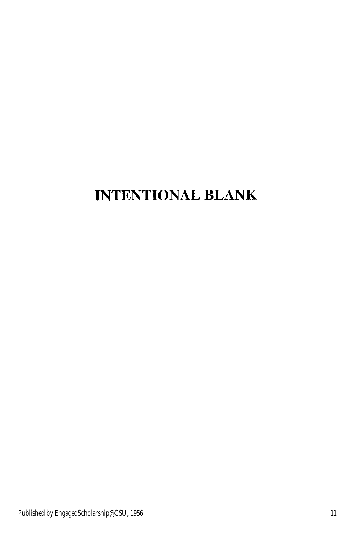# INTENTIONAL BLANK

Published by EngagedScholarship@CSU, 1956 11 11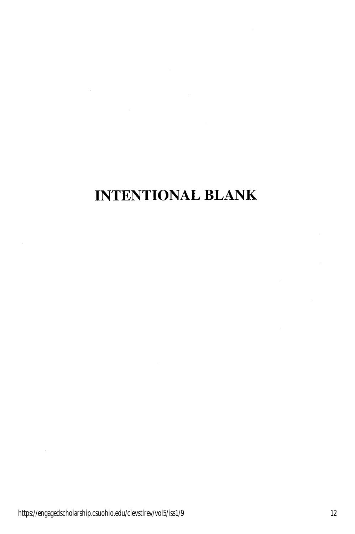# INTENTIONAL BLANK

https://engagedscholarship.csuohio.edu/clevstlrev/vol5/iss1/9 12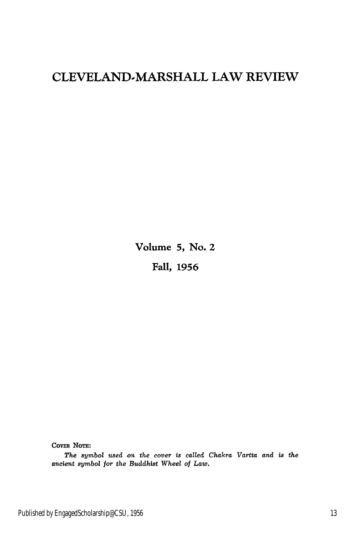### **CLEVELAND.-MARSHALL** LAW REVIEW

Volume **5,** No. 2 Fall, **1956**

**CovER NoTE:**

*The symbol used* on *the cover is called Chakra Vartta and is the ancient symbol for the Buddhist Wheel of Law.*